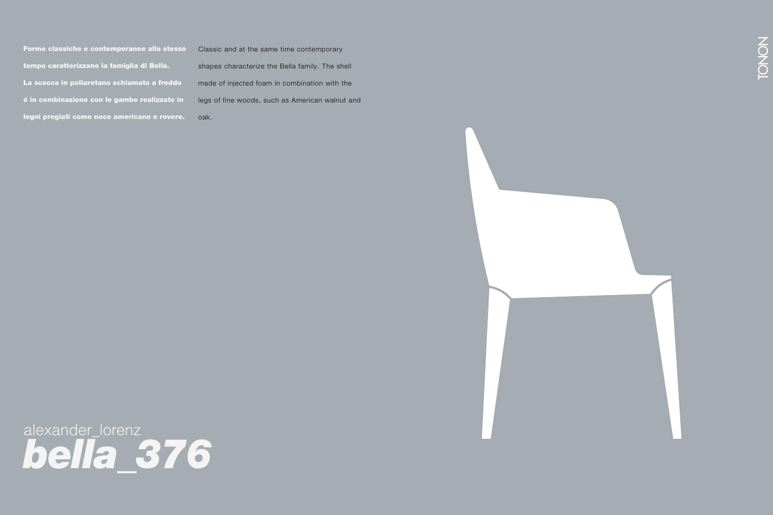Forme classiche e contemporanee allo stesso tempo caratterizzano la famiglia di Bella. La scocca in poliuretano schiumato a freddo é in combinazione con le gambe realizzate in legni pregiati come noce americano e rovere. Forme classiche e contemporanee allo stesso Classic and at the same time contemporary<br>tempo caratterizzano la famiglia di Bella. Shapes characterize the Bella family. The sh<br>La scocca in poliuretano schiumato a freddo same

Classic and at the same time contemporary shapes characterize the Bella family. The shell made of injected foam in combination with the legs of fine woods, such as American walnut and  $\mathsf{o}\mathsf{a}\mathsf{k}.$  And the craftsmanship material and the craftsmanship material and the craftsmanship material and oak.





alexander\_lorenz *bella\_376*